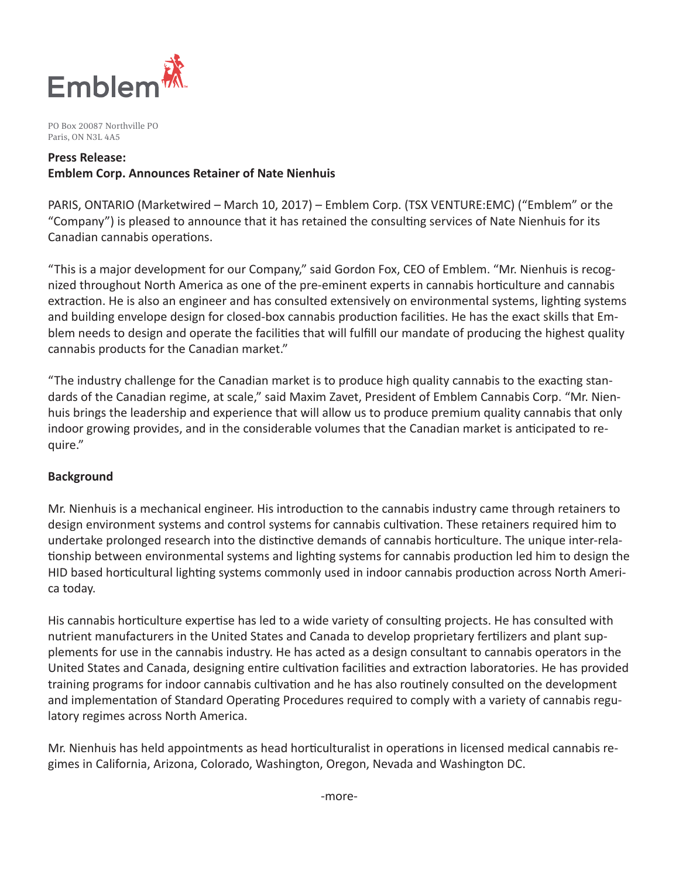

PO Box 20087 Northville PO Paris, ON N3L 4A5

## **Press Release: Emblem Corp. Announces Retainer of Nate Nienhuis**

PARIS, ONTARIO (Marketwired – March 10, 2017) – Emblem Corp. (TSX VENTURE:EMC) ("Emblem" or the "Company") is pleased to announce that it has retained the consulting services of Nate Nienhuis for its Canadian cannabis operations.

"This is a major development for our Company," said Gordon Fox, CEO of Emblem. "Mr. Nienhuis is recognized throughout North America as one of the pre-eminent experts in cannabis horticulture and cannabis extraction. He is also an engineer and has consulted extensively on environmental systems, lighting systems and building envelope design for closed-box cannabis production facilities. He has the exact skills that Emblem needs to design and operate the facilities that will fulfill our mandate of producing the highest quality cannabis products for the Canadian market."

"The industry challenge for the Canadian market is to produce high quality cannabis to the exacting standards of the Canadian regime, at scale," said Maxim Zavet, President of Emblem Cannabis Corp. "Mr. Nienhuis brings the leadership and experience that will allow us to produce premium quality cannabis that only indoor growing provides, and in the considerable volumes that the Canadian market is anticipated to require."

### **Background**

Mr. Nienhuis is a mechanical engineer. His introduction to the cannabis industry came through retainers to design environment systems and control systems for cannabis cultivation. These retainers required him to undertake prolonged research into the distinctive demands of cannabis horticulture. The unique inter-relationship between environmental systems and lighting systems for cannabis production led him to design the HID based horticultural lighting systems commonly used in indoor cannabis production across North America today.

His cannabis horticulture expertise has led to a wide variety of consulting projects. He has consulted with nutrient manufacturers in the United States and Canada to develop proprietary fertilizers and plant supplements for use in the cannabis industry. He has acted as a design consultant to cannabis operators in the United States and Canada, designing entire cultivation facilities and extraction laboratories. He has provided training programs for indoor cannabis cultivation and he has also routinely consulted on the development and implementation of Standard Operating Procedures required to comply with a variety of cannabis regulatory regimes across North America.

Mr. Nienhuis has held appointments as head horticulturalist in operations in licensed medical cannabis regimes in California, Arizona, Colorado, Washington, Oregon, Nevada and Washington DC.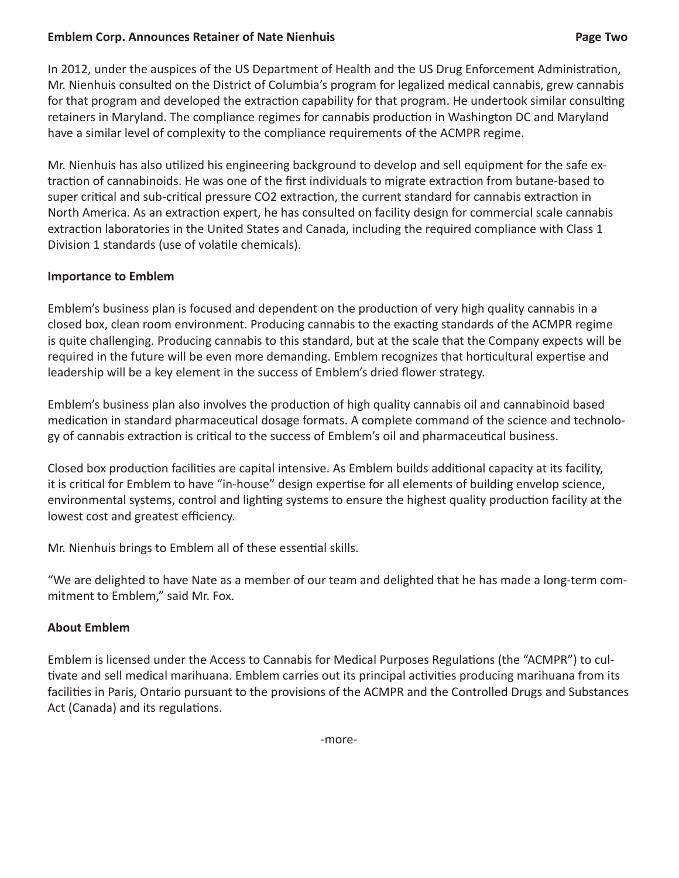### **Emblem Corp. Announces Retainer of Nate Nienhuis Page Two**

In 2012, under the auspices of the US Department of Health and the US Drug Enforcement Administration, Mr. Nienhuis consulted on the District of Columbia's program for legalized medical cannabis, grew cannabis for that program and developed the extraction capability for that program. He undertook similar consulting retainers in Maryland. The compliance regimes for cannabis production in Washington DC and Maryland have a similar level of complexity to the compliance requirements of the ACMPR regime.

Mr. Nienhuis has also utilized his engineering background to develop and sell equipment for the safe extraction of cannabinoids. He was one of the first individuals to migrate extraction from butane-based to super critical and sub-critical pressure CO2 extraction, the current standard for cannabis extraction in North America. As an extraction expert, he has consulted on facility design for commercial scale cannabis extraction laboratories in the United States and Canada, including the required compliance with Class 1 Division 1 standards (use of volatile chemicals).

## **Importance to Emblem**

Emblem's business plan is focused and dependent on the production of very high quality cannabis in a closed box, clean room environment. Producing cannabis to the exacting standards of the ACMPR regime is quite challenging. Producing cannabis to this standard, but at the scale that the Company expects will be required in the future will be even more demanding. Emblem recognizes that horticultural expertise and leadership will be a key element in the success of Emblem's dried flower strategy.

Emblem's business plan also involves the production of high quality cannabis oil and cannabinoid based medication in standard pharmaceutical dosage formats. A complete command of the science and technology of cannabis extraction is critical to the success of Emblem's oil and pharmaceutical business.

Closed box production facilities are capital intensive. As Emblem builds additional capacity at its facility, it is critical for Emblem to have "in-house" design expertise for all elements of building envelop science, environmental systems, control and lighting systems to ensure the highest quality production facility at the lowest cost and greatest efficiency.

Mr. Nienhuis brings to Emblem all of these essential skills.

"We are delighted to have Nate as a member of our team and delighted that he has made a long-term commitment to Emblem," said Mr. Fox.

# **About Emblem**

Emblem is licensed under the Access to Cannabis for Medical Purposes Regulations (the "ACMPR") to cultivate and sell medical marihuana. Emblem carries out its principal activities producing marihuana from its facilities in Paris, Ontario pursuant to the provisions of the ACMPR and the Controlled Drugs and Substances Act (Canada) and its regulations.

-more-